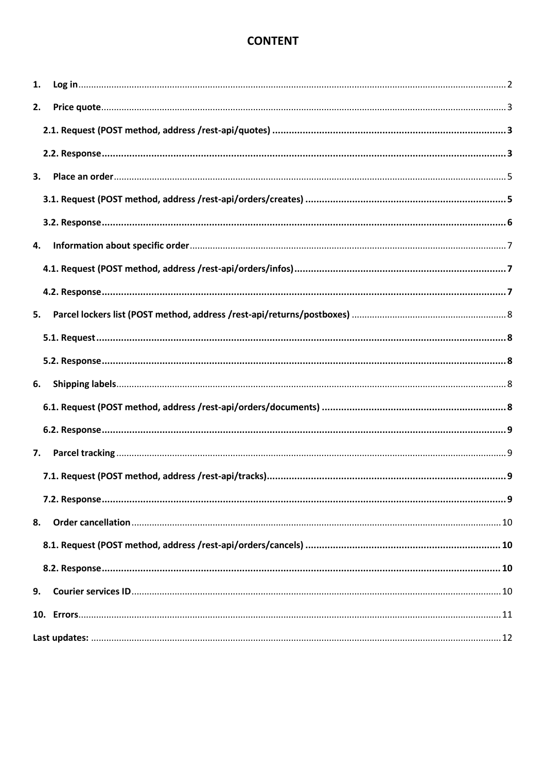# **CONTENT**

| 1. |  |
|----|--|
| 2. |  |
|    |  |
|    |  |
| 3. |  |
|    |  |
|    |  |
| 4. |  |
|    |  |
|    |  |
| 5. |  |
|    |  |
|    |  |
| 6. |  |
|    |  |
|    |  |
| 7. |  |
|    |  |
|    |  |
| 8. |  |
|    |  |
|    |  |
| 9. |  |
|    |  |
|    |  |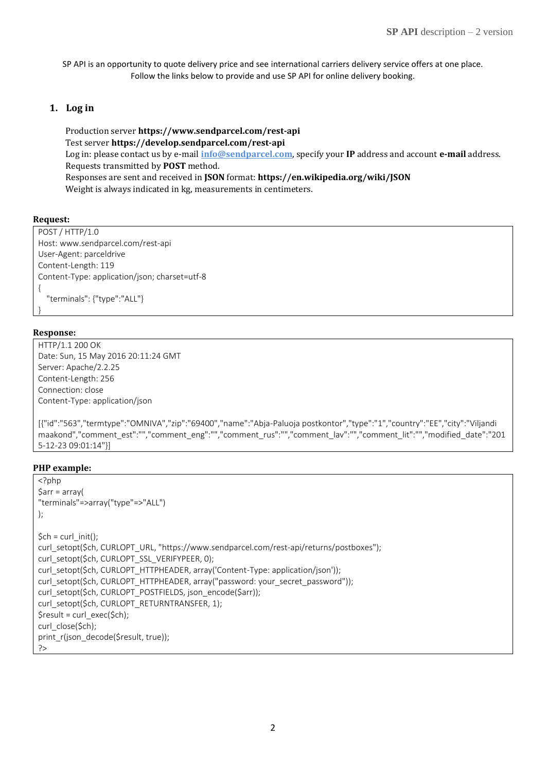SP API is an opportunity to quote delivery price and see international carriers delivery service offers at one place. Follow the links below to provide and use SP API for online delivery booking.

#### <span id="page-1-0"></span>**1. Log in**

Production server **https://www.sendparcel.com/rest-api** Test server **https://develop.sendparcel.com/rest-api** Log in: please contact us by e-mail **[info@sendparcel.com](mailto:info@sendparcel.com?subject=About%20API:%20test%20/%20production%20server%20log%20in)**, specify your **IP** address and account **e-mail** address. Requests transmitted by **POST** method. Responses are sent and received in **JSON** format: **https://en.wikipedia.org/wiki/JSON** Weight is always indicated in kg, measurements in centimeters.

#### **Request:**

POST / HTTP/1.0 Host: www.sendparcel.com/rest-api User-Agent: parceldrive Content-Length: 119 Content-Type: application/json; charset=utf-8 { "terminals": {"type":"ALL"} }

#### **Response:**

HTTP/1.1 200 OK Date: Sun, 15 May 2016 20:11:24 GMT Server: Apache/2.2.25 Content-Length: 256 Connection: close Content-Type: application/json

[{"id":"563","termtype":"OMNIVA","zip":"69400","name":"Abja-Paluoja postkontor","type":"1","country":"EE","city":"Viljandi maakond","comment\_est":"","comment\_eng":"","comment\_rus":"","comment\_lav":"","comment\_lit":"","modified\_date":"201 5-12-23 09:01:14"}]

#### **PHP example:**

```
<?php
\text{Sarr} = \text{array}"terminals"=>array("type"=>"ALL")
);
$ch = curl_init();
curl_setopt($ch, CURLOPT_URL, "https://www.sendparcel.com/rest-api/returns/postboxes");
curl_setopt($ch, CURLOPT_SSL_VERIFYPEER, 0);
curl_setopt($ch, CURLOPT_HTTPHEADER, array('Content-Type: application/json'));
curl_setopt($ch, CURLOPT_HTTPHEADER, array("password: your_secret_password"));
curl_setopt($ch, CURLOPT_POSTFIELDS, json_encode($arr));
curl_setopt($ch, CURLOPT_RETURNTRANSFER, 1);
$result = curl_exec($ch);
curl_close($ch);
print_r(json_decode($result, true));
?>
```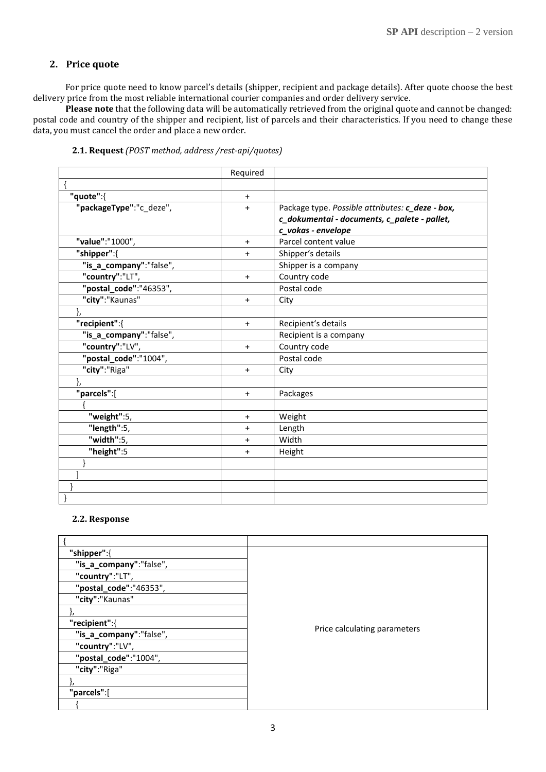### <span id="page-2-0"></span>**2. Price quote**

For price quote need to know parcel's details (shipper, recipient and package details). After quote choose the best delivery price from the most reliable international courier companies and order delivery service.

<span id="page-2-1"></span>**Please note** that the following data will be automatically retrieved from the original quote and cannot be changed: postal code and country of the shipper and recipient, list of parcels and their characteristics. If you need to change these data, you must cancel the order and place a new order.

|  |  | 2.1. Request (POST method, address /rest-api/quotes) |  |  |
|--|--|------------------------------------------------------|--|--|
|  |  |                                                      |  |  |

|                         | Required  |                                                  |
|-------------------------|-----------|--------------------------------------------------|
|                         |           |                                                  |
| "quote":{               | $\ddot{}$ |                                                  |
| "packageType":"c_deze", | $\ddot{}$ | Package type. Possible attributes: c_deze - box, |
|                         |           | c_dokumentai - documents, c_palete - pallet,     |
|                         |           | c_vokas - envelope                               |
| "value":"1000",         | $\ddot{}$ | Parcel content value                             |
| "shipper":{             | $+$       | Shipper's details                                |
| "is_a_company":"false", |           | Shipper is a company                             |
| "country":"LT",         | $+$       | Country code                                     |
| "postal_code":"46353",  |           | Postal code                                      |
| "city":"Kaunas"         | $+$       | City                                             |
| },                      |           |                                                  |
| "recipient":{           | $\ddot{}$ | Recipient's details                              |
| "is_a_company":"false", |           | Recipient is a company                           |
| "country":"LV",         | $+$       | Country code                                     |
| "postal_code":"1004",   |           | Postal code                                      |
| "city":"Riga"           | $\ddot{}$ | City                                             |
| },                      |           |                                                  |
| "parcels":[             | $\ddot{}$ | Packages                                         |
|                         |           |                                                  |
| "weight":5,             | $\ddot{}$ | Weight                                           |
| "length":5,             | $\ddot{}$ | Length                                           |
| "width":5,              | $\pmb{+}$ | Width                                            |
| "height":5              | $\ddot{}$ | Height                                           |
|                         |           |                                                  |
|                         |           |                                                  |
|                         |           |                                                  |
|                         |           |                                                  |

#### <span id="page-2-2"></span>**2.2. Response**

| "shipper":{             |                              |
|-------------------------|------------------------------|
| "is_a_company":"false", |                              |
| "country":"LT",         |                              |
| "postal_code":"46353",  |                              |
| "city":"Kaunas"         |                              |
|                         |                              |
| "recipient":{           |                              |
| "is_a_company":"false", | Price calculating parameters |
| "country":"LV",         |                              |
| "postal_code":"1004",   |                              |
| "city":"Riga"           |                              |
|                         |                              |
| "parcels":[             |                              |
|                         |                              |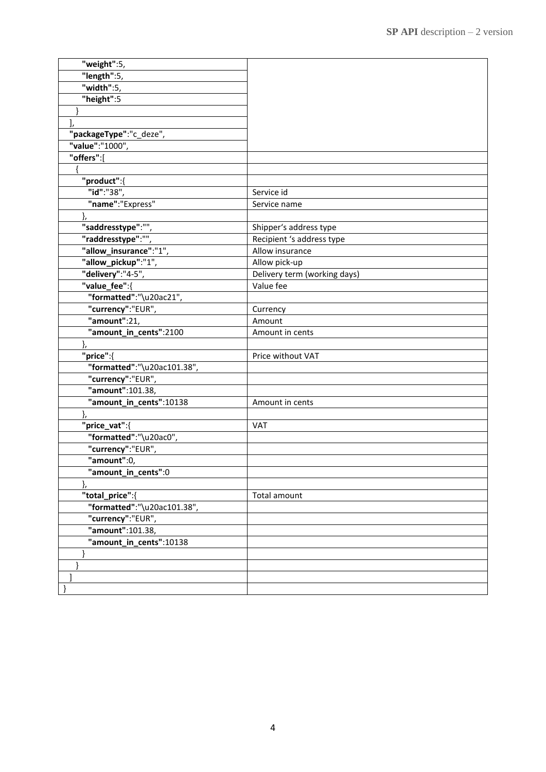| "weight":5,                 |                              |
|-----------------------------|------------------------------|
| "length":5,                 |                              |
| "width":5,                  |                              |
| "height":5                  |                              |
|                             |                              |
| J,                          |                              |
| "packageType":"c_deze",     |                              |
| "value":"1000",             |                              |
| "offers":[                  |                              |
|                             |                              |
| "product":{                 |                              |
| "id":"38",                  | Service id                   |
| "name":"Express"            | Service name                 |
| },                          |                              |
| "saddresstype":""           | Shipper's address type       |
| "raddresstype":"",          | Recipient 's address type    |
| "allow insurance":"1",      | Allow insurance              |
| "allow_pickup":"1",         | Allow pick-up                |
| "delivery":"4-5",           | Delivery term (working days) |
| "value_fee":{               | Value fee                    |
| "formatted":"\u20ac21",     |                              |
| "currency":"EUR",           | Currency                     |
| "amount":21,                | Amount                       |
| "amount_in_cents":2100      | Amount in cents              |
| ł,                          |                              |
| "price":{                   | Price without VAT            |
| "formatted":"\u20ac101.38", |                              |
| "currency":"EUR",           |                              |
| "amount":101.38,            |                              |
| "amount_in_cents":10138     | Amount in cents              |
|                             |                              |
| "price_vat":{               | <b>VAT</b>                   |
| "formatted":"\u20ac0",      |                              |
| "currency":"EUR",           |                              |
| "amount":0,                 |                              |
| "amount_in_cents":0         |                              |
| },                          |                              |
| "total_price":{             | Total amount                 |
| "formatted":"\u20ac101.38", |                              |
| "currency":"EUR",           |                              |
| "amount":101.38,            |                              |
| "amount_in_cents":10138     |                              |
|                             |                              |
|                             |                              |
|                             |                              |
|                             |                              |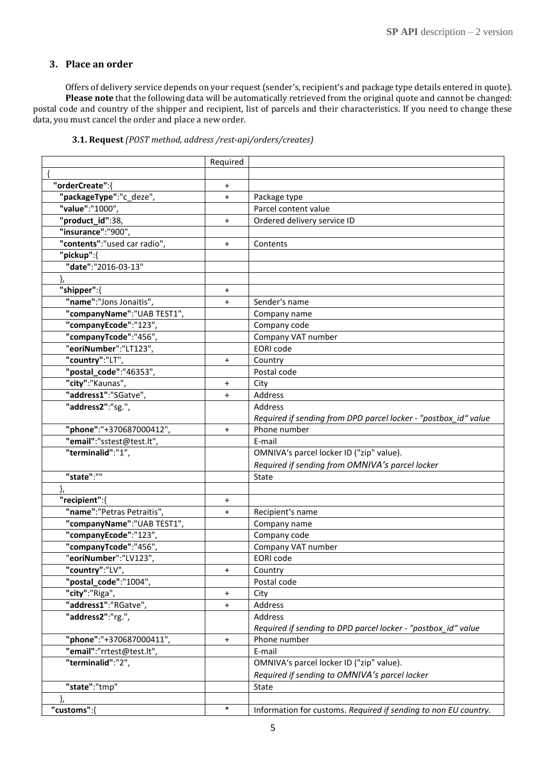### <span id="page-4-0"></span>**3. Place an order**

Offers of delivery service depends on your request (sender's, recipient's and package type details entered in quote). **Please note** that the following data will be automatically retrieved from the original quote and cannot be changed: postal code and country of the shipper and recipient, list of parcels and their characteristics. If you need to change these data, you must cancel the order and place a new order.

<span id="page-4-1"></span>

|                              | Required  |                                                                 |
|------------------------------|-----------|-----------------------------------------------------------------|
|                              |           |                                                                 |
| "orderCreate":{              | $\ddot{}$ |                                                                 |
| "packageType":"c_deze",      | $+$       | Package type                                                    |
| "value":"1000",              |           | Parcel content value                                            |
| "product_id":38,             | $\ddot{}$ | Ordered delivery service ID                                     |
| "insurance":"900",           |           |                                                                 |
| "contents":"used car radio", | $+$       | Contents                                                        |
| "pickup":{                   |           |                                                                 |
| "date":"2016-03-13"          |           |                                                                 |
|                              |           |                                                                 |
| "shipper":{                  | $\ddot{}$ |                                                                 |
| "name":"Jons Jonaitis",      | $\ddot{}$ | Sender's name                                                   |
| "companyName":"UAB TEST1",   |           | Company name                                                    |
| "companyEcode":"123",        |           | Company code                                                    |
| "companyTcode":"456",        |           | Company VAT number                                              |
| "eoriNumber":"LT123",        |           | <b>EORI</b> code                                                |
| "country":"LT",              | $\ddot{}$ | Country                                                         |
| "postal_code":"46353",       |           | Postal code                                                     |
| "city":"Kaunas",             | $\ddot{}$ | City                                                            |
| "address1":"SGatve",         | $\ddot{}$ | Address                                                         |
| "address2":"sg.",            |           | Address                                                         |
|                              |           | Required if sending from DPD parcel locker - "postbox id" value |
| "phone":"+370687000412",     | $\ddot{}$ | Phone number                                                    |
| "email":"sstest@test.lt",    |           | E-mail                                                          |
| "terminalid":"1",            |           | OMNIVA's parcel locker ID ("zip" value).                        |
|                              |           | Required if sending from OMNIVA's parcel locker                 |
| "state":""                   |           | State                                                           |
|                              |           |                                                                 |
| "recipient":{                | $\ddot{}$ |                                                                 |
| "name":"Petras Petraitis",   | $\ddot{}$ | Recipient's name                                                |
| "companyName":"UAB TEST1",   |           | Company name                                                    |
| "companyEcode":"123",        |           | Company code                                                    |
| "companyTcode":"456",        |           | Company VAT number                                              |
| "eoriNumber":"LV123",        |           | EORI code                                                       |
| "country":"LV",              | $\ddot{}$ | Country                                                         |
| "postal_code":"1004",        |           | Postal code                                                     |
| "city":"Riga",               | $\ddot{}$ | City                                                            |
| "address1":"RGatve",         | $\ddot{}$ | Address                                                         |
| "address2":"rg.",            |           | Address                                                         |
|                              |           | Required if sending to DPD parcel locker - "postbox_id" value   |
| "phone":"+370687000411",     | $\ddot{}$ | Phone number                                                    |
| "email":"rrtest@test.lt",    |           | E-mail                                                          |
| "terminalid":"2",            |           | OMNIVA's parcel locker ID ("zip" value).                        |
|                              |           | Required if sending to OMNIVA's parcel locker                   |
| "state":"tmp"                |           | State                                                           |
|                              |           |                                                                 |
| "customs":{                  | $\ast$    | Information for customs. Required if sending to non EU country. |

#### **3.1. Request** *(POST method, address /rest-api/orders/creates)*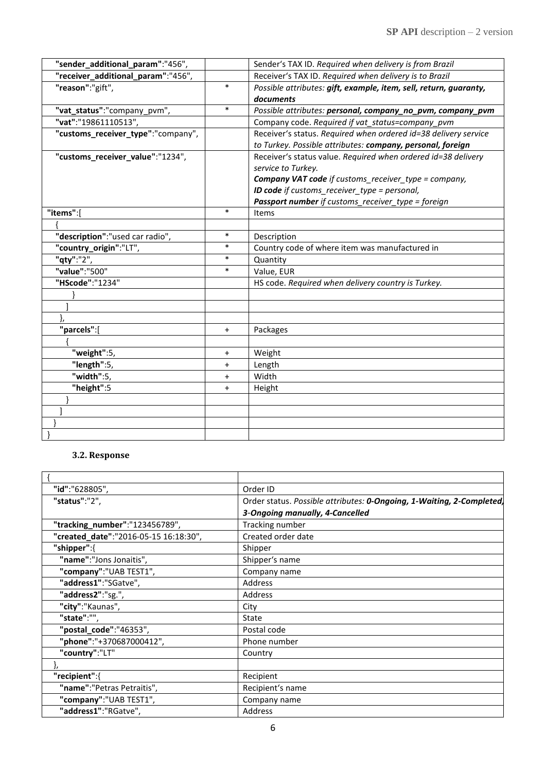| "sender_additional_param":"456",   |           | Sender's TAX ID. Required when delivery is from Brazil            |
|------------------------------------|-----------|-------------------------------------------------------------------|
| "receiver_additional_param":"456", |           | Receiver's TAX ID. Required when delivery is to Brazil            |
| "reason":"gift",                   | $\ast$    | Possible attributes: gift, example, item, sell, return, guaranty, |
|                                    |           | documents                                                         |
| "vat_status":"company_pvm",        | $\ast$    | Possible attributes: personal, company_no_pvm, company_pvm        |
| "vat":"19861110513",               |           | Company code. Required if vat status=company pvm                  |
| "customs_receiver_type":"company", |           | Receiver's status. Required when ordered id=38 delivery service   |
|                                    |           | to Turkey. Possible attributes: company, personal, foreign        |
| "customs_receiver_value":"1234",   |           | Receiver's status value. Required when ordered id=38 delivery     |
|                                    |           | service to Turkey.                                                |
|                                    |           | Company VAT code if customs_receiver_type = company,              |
|                                    |           | <b>ID code</b> if customs receiver type = personal,               |
|                                    |           | Passport number if customs_receiver_type = foreign                |
| "items":[                          | $\ast$    | Items                                                             |
|                                    |           |                                                                   |
| "description":"used car radio",    | $\ast$    | Description                                                       |
| "country_origin":"LT",             | $\ast$    | Country code of where item was manufactured in                    |
| "qty":"2",                         | $\ast$    | Quantity                                                          |
| "value":"500"                      | $\ast$    | Value, EUR                                                        |
| "HScode":"1234"                    |           | HS code. Required when delivery country is Turkey.                |
|                                    |           |                                                                   |
|                                    |           |                                                                   |
|                                    |           |                                                                   |
| "parcels":[                        | $\ddot{}$ | Packages                                                          |
|                                    |           |                                                                   |
| "weight":5,                        | $\ddot{}$ | Weight                                                            |
| "length":5,                        | $\ddot{}$ | Length                                                            |
| "width":5,                         | $+$       | Width                                                             |
| "height":5                         | $\ddot{}$ | Height                                                            |
|                                    |           |                                                                   |
|                                    |           |                                                                   |
|                                    |           |                                                                   |
|                                    |           |                                                                   |

## **3.2. Response**

<span id="page-5-0"></span>

| "id":"628805",                        | Order ID                                                              |
|---------------------------------------|-----------------------------------------------------------------------|
| "status":"2",                         | Order status. Possible attributes: 0-Ongoing, 1-Waiting, 2-Completed, |
|                                       | 3-Ongoing manually, 4-Cancelled                                       |
| "tracking_number":"123456789",        | Tracking number                                                       |
| "created_date":"2016-05-15 16:18:30", | Created order date                                                    |
| "shipper":{                           | Shipper                                                               |
| "name":"Jons Jonaitis",               | Shipper's name                                                        |
| "company":"UAB TEST1",                | Company name                                                          |
| "address1":"SGatve",                  | Address                                                               |
| "address2":"sg.",                     | Address                                                               |
| "city":"Kaunas",                      | City                                                                  |
| "state":"",                           | State                                                                 |
| "postal_code":"46353",                | Postal code                                                           |
| "phone":"+370687000412",              | Phone number                                                          |
| "country":"LT"                        | Country                                                               |
|                                       |                                                                       |
| "recipient":{                         | Recipient                                                             |
| "name":"Petras Petraitis",            | Recipient's name                                                      |
| "company":"UAB TEST1",                | Company name                                                          |
| "address1":"RGatve",                  | Address                                                               |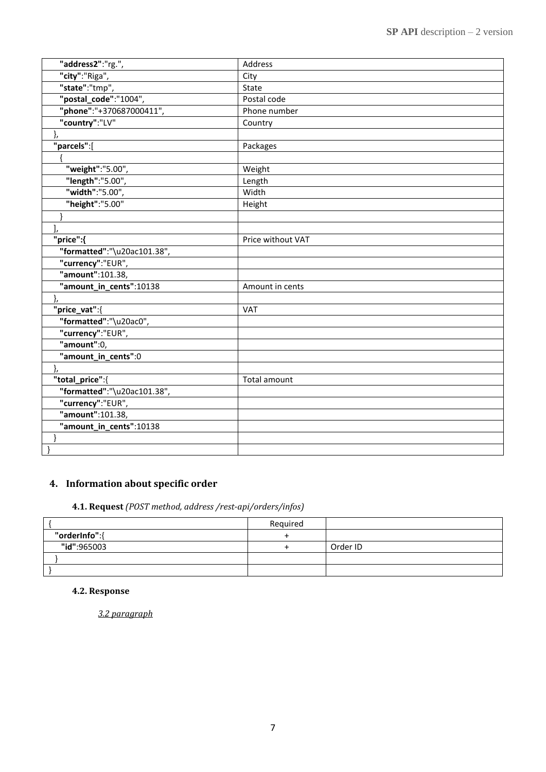| "address2":"rg.",           | Address           |
|-----------------------------|-------------------|
| "city":"Riga",              | City              |
| "state":"tmp",              | State             |
| "postal_code":"1004",       | Postal code       |
| "phone":"+370687000411",    | Phone number      |
| "country":"LV"              | Country           |
| },                          |                   |
| "parcels":[                 | Packages          |
|                             |                   |
| "weight":"5.00",            | Weight            |
| "length":"5.00",            | Length            |
| "width":"5.00",             | Width             |
| "height":"5.00"             | Height            |
|                             |                   |
|                             |                   |
| "price":{                   | Price without VAT |
| "formatted":"\u20ac101.38", |                   |
| "currency":"EUR",           |                   |
| "amount":101.38,            |                   |
| "amount_in_cents":10138     | Amount in cents   |
|                             |                   |
| "price_vat":{               | VAT               |
| "formatted":"\u20ac0",      |                   |
| "currency":"EUR",           |                   |
| "amount":0,                 |                   |
| "amount_in_cents":0         |                   |
|                             |                   |
| "total_price":{             | Total amount      |
| "formatted":"\u20ac101.38", |                   |
| "currency":"EUR",           |                   |
| "amount":101.38,            |                   |
| "amount_in_cents":10138     |                   |
|                             |                   |
|                             |                   |

# <span id="page-6-0"></span>**4. Information about specific order**

## **4.1. Request** *(POST method, address /rest-api/orders/infos)*

<span id="page-6-1"></span>

|               | Required |          |
|---------------|----------|----------|
| "orderInfo":{ |          |          |
| "id":965003   |          | Order ID |
|               |          |          |
|               |          |          |

### <span id="page-6-2"></span>**4.2. Response**

*3.2 paragraph*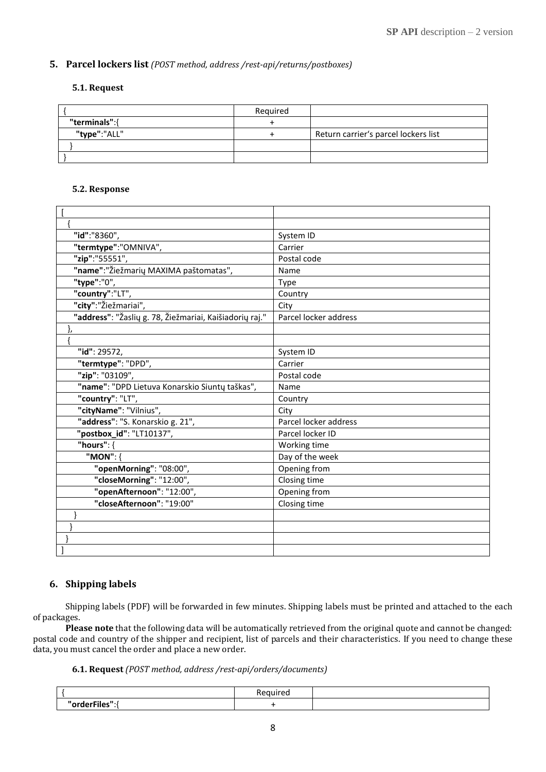### <span id="page-7-1"></span><span id="page-7-0"></span>**5. Parcel lockers list** *(POST method, address /rest-api/returns/postboxes)*

#### <span id="page-7-2"></span>**5.1. Request**

|               | Reguired |                                      |
|---------------|----------|--------------------------------------|
| "terminals":{ |          |                                      |
| "type":"ALL"  |          | Return carrier's parcel lockers list |
|               |          |                                      |
|               |          |                                      |

#### **5.2. Response**

| "id":"8360",                                            | System ID             |
|---------------------------------------------------------|-----------------------|
| "termtype":"OMNIVA",                                    | Carrier               |
| "zip":"55551",                                          | Postal code           |
| "name":"Žiežmarių MAXIMA paštomatas",                   | Name                  |
| "type":"0",                                             | Type                  |
| "country":"LT",                                         | Country               |
| "city":"Žiežmariai",                                    | City                  |
| "address": "Žaslių g. 78, Žiežmariai, Kaišiadorių raj." | Parcel locker address |
| },                                                      |                       |
|                                                         |                       |
| "id": 29572,                                            | System ID             |
| "termtype": "DPD",                                      | Carrier               |
| "zip": "03109",                                         | Postal code           |
| "name": "DPD Lietuva Konarskio Siuntų taškas",          | Name                  |
| "country": "LT",                                        | Country               |
| "cityName": "Vilnius",                                  | City                  |
| "address": "S. Konarskio g. 21",                        | Parcel locker address |
| "postbox_id": "LT10137",                                | Parcel locker ID      |
| "hours": $\{$                                           | Working time          |
| "MON": {                                                | Day of the week       |
| "openMorning": "08:00",                                 | Opening from          |
| "closeMorning": "12:00",                                | Closing time          |
| "openAfternoon": "12:00",                               | Opening from          |
| "closeAfternoon": "19:00"                               | Closing time          |
|                                                         |                       |
|                                                         |                       |
|                                                         |                       |
|                                                         |                       |

### <span id="page-7-3"></span>**6. Shipping labels**

Shipping labels (PDF) will be forwarded in few minutes. Shipping labels must be printed and attached to the each of packages.

**Please note** that the following data will be automatically retrieved from the original quote and cannot be changed: postal code and country of the shipper and recipient, list of parcels and their characteristics. If you need to change these data, you must cancel the order and place a new order.

#### **6.1. Request** *(POST method, address /rest-api/orders/documents)*

<span id="page-7-4"></span>

| ____<br>.<br>---<br>nr<br>. |  |
|-----------------------------|--|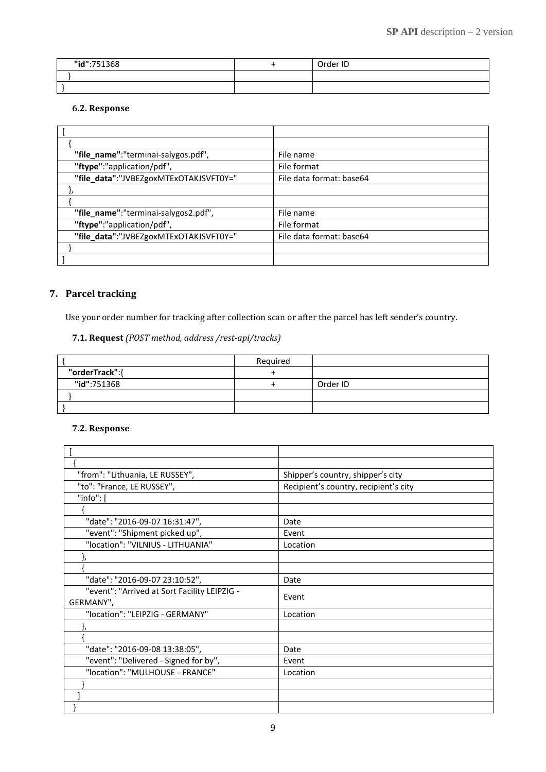| "id":751368 | Order ID |
|-------------|----------|
|             |          |
|             |          |

### **6.2. Response**

<span id="page-8-0"></span>

| "file_name":"terminai-salygos.pdf",    | File name                |
|----------------------------------------|--------------------------|
| "ftype":"application/pdf",             | File format              |
| "file_data":"JVBEZgoxMTExOTAKJSVFT0Y=" | File data format: base64 |
|                                        |                          |
|                                        |                          |
| "file_name":"terminai-salygos2.pdf",   | File name                |
| "ftype":"application/pdf",             | File format              |
| "file_data":"JVBEZgoxMTExOTAKJSVFT0Y=" | File data format: base64 |
|                                        |                          |
|                                        |                          |

## <span id="page-8-1"></span>**7. Parcel tracking**

Use your order number for tracking after collection scan or after the parcel has left sender's country.

### **7.1. Request** *(POST method, address /rest-api/tracks)*

<span id="page-8-2"></span>

|                | Required |          |
|----------------|----------|----------|
| "orderTrack":{ |          |          |
| "id":751368    |          | Order ID |
|                |          |          |
|                |          |          |

### <span id="page-8-3"></span>**7.2. Response**

| "from": "Lithuania, LE RUSSEY",              | Shipper's country, shipper's city     |
|----------------------------------------------|---------------------------------------|
| "to": "France, LE RUSSEY",                   | Recipient's country, recipient's city |
| "info": [                                    |                                       |
|                                              |                                       |
| "date": "2016-09-07 16:31:47",               | Date                                  |
| "event": "Shipment picked up",               | Event                                 |
| "location": "VILNIUS - LITHUANIA"            | Location                              |
|                                              |                                       |
|                                              |                                       |
| "date": "2016-09-07 23:10:52",               | Date                                  |
| "event": "Arrived at Sort Facility LEIPZIG - | Event                                 |
| GERMANY",                                    |                                       |
| "location": "LEIPZIG - GERMANY"              | Location                              |
|                                              |                                       |
|                                              |                                       |
| "date": "2016-09-08 13:38:05",               | Date                                  |
| "event": "Delivered - Signed for by",        | Event                                 |
| "location": "MULHOUSE - FRANCE"              | Location                              |
|                                              |                                       |
|                                              |                                       |
|                                              |                                       |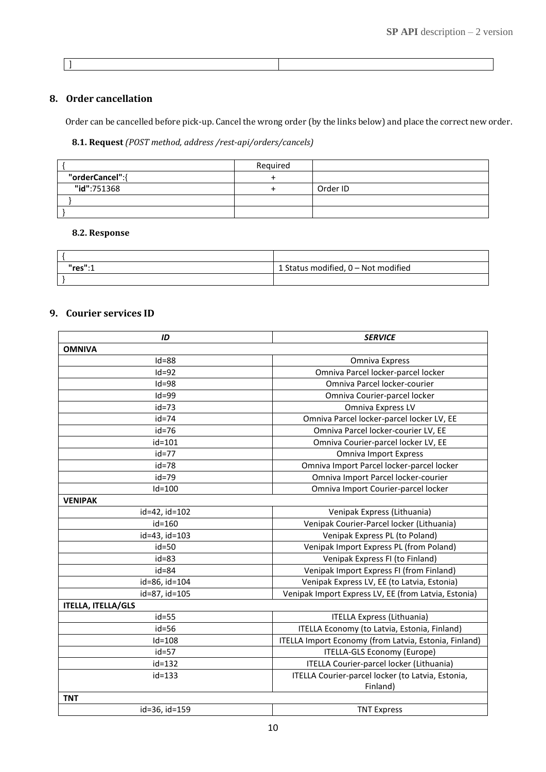]

### <span id="page-9-0"></span>**8. Order cancellation**

Order can be cancelled before pick-up. Cancel the wrong order (by the links below) and place the correct new order.

### **8.1. Request** *(POST method, address /rest-api/orders/cancels)*

<span id="page-9-1"></span>

|                 | Required |          |
|-----------------|----------|----------|
| "orderCancel":{ |          |          |
| "id":751368     |          | Order ID |
|                 |          |          |
|                 |          |          |

#### <span id="page-9-2"></span>**8.2. Response**

| "res":1 | 1 Status modified, 0 - Not modified |
|---------|-------------------------------------|
|         |                                     |

#### <span id="page-9-3"></span>**9. Courier services ID**

| ID                        | <b>SERVICE</b>                                        |
|---------------------------|-------------------------------------------------------|
| <b>OMNIVA</b>             |                                                       |
| $Id = 88$                 | Omniva Express                                        |
| $Id=92$                   | Omniva Parcel locker-parcel locker                    |
| $Id = 98$                 | Omniva Parcel locker-courier                          |
| $Id = 99$                 | Omniva Courier-parcel locker                          |
| $id = 73$                 | Omniva Express LV                                     |
| id=74                     | Omniva Parcel locker-parcel locker LV, EE             |
| $id = 76$                 | Omniva Parcel locker-courier LV, EE                   |
| id=101                    | Omniva Courier-parcel locker LV, EE                   |
| $id=77$                   | <b>Omniva Import Express</b>                          |
| id=78                     | Omniva Import Parcel locker-parcel locker             |
| $id = 79$                 | Omniva Import Parcel locker-courier                   |
| $Id=100$                  | Omniva Import Courier-parcel locker                   |
| <b>VENIPAK</b>            |                                                       |
| id=42, id=102             | Venipak Express (Lithuania)                           |
| id=160                    | Venipak Courier-Parcel locker (Lithuania)             |
| id=43, id=103             | Venipak Express PL (to Poland)                        |
| $id = 50$                 | Venipak Import Express PL (from Poland)               |
| $id = 83$                 | Venipak Express FI (to Finland)                       |
| $id = 84$                 | Venipak Import Express FI (from Finland)              |
| id=86, id=104             | Venipak Express LV, EE (to Latvia, Estonia)           |
| id=87, id=105             | Venipak Import Express LV, EE (from Latvia, Estonia)  |
| <b>ITELLA, ITELLA/GLS</b> |                                                       |
| $id = 55$                 | <b>ITELLA Express (Lithuania)</b>                     |
| $id = 56$                 | ITELLA Economy (to Latvia, Estonia, Finland)          |
| $Id=108$                  | ITELLA Import Economy (from Latvia, Estonia, Finland) |
| id=57                     | ITELLA-GLS Economy (Europe)                           |
| id=132                    | ITELLA Courier-parcel locker (Lithuania)              |
| id=133                    | ITELLA Courier-parcel locker (to Latvia, Estonia,     |
|                           | Finland)                                              |
| <b>TNT</b>                |                                                       |
| id=36, id=159             | <b>TNT Express</b>                                    |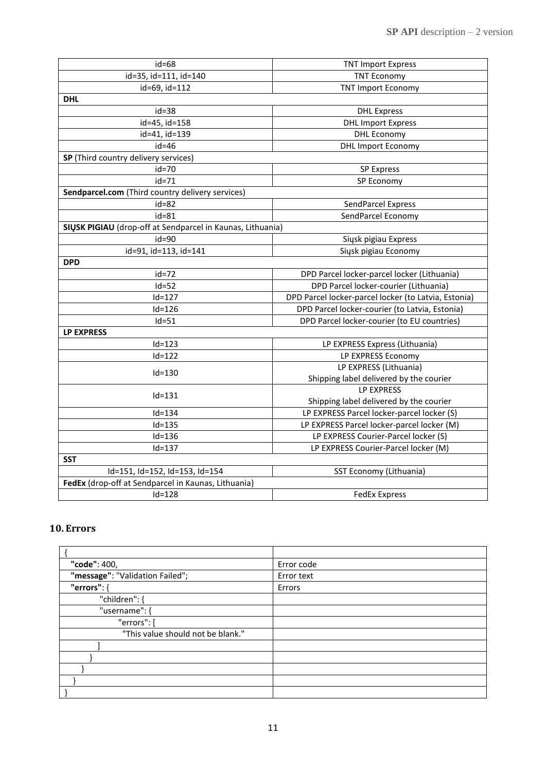| $id = 68$                                                  | <b>TNT Import Express</b>                            |  |
|------------------------------------------------------------|------------------------------------------------------|--|
| id=35, id=111, id=140                                      | <b>TNT Economy</b>                                   |  |
| id=69, id=112                                              | <b>TNT Import Economy</b>                            |  |
| <b>DHL</b>                                                 |                                                      |  |
| $id = 38$                                                  | <b>DHL Express</b>                                   |  |
| id=45, id=158                                              | <b>DHL Import Express</b>                            |  |
| id=41, id=139                                              | <b>DHL Economy</b>                                   |  |
| $id = 46$                                                  | <b>DHL Import Economy</b>                            |  |
| SP (Third country delivery services)                       |                                                      |  |
| id=70                                                      | <b>SP Express</b>                                    |  |
| $id = 71$                                                  | SP Economy                                           |  |
| Sendparcel.com (Third country delivery services)           |                                                      |  |
| $id = 82$                                                  | SendParcel Express                                   |  |
| $id = 81$                                                  | SendParcel Economy                                   |  |
| SIŲSK PIGIAU (drop-off at Sendparcel in Kaunas, Lithuania) |                                                      |  |
| $id = 90$                                                  | Siųsk pigiau Express                                 |  |
| id=91, id=113, id=141                                      | Siysk pigiau Economy                                 |  |
| <b>DPD</b>                                                 |                                                      |  |
| $id = 72$                                                  | DPD Parcel locker-parcel locker (Lithuania)          |  |
| $Id=52$                                                    | DPD Parcel locker-courier (Lithuania)                |  |
| $Id=127$                                                   | DPD Parcel locker-parcel locker (to Latvia, Estonia) |  |
| $Id=126$                                                   | DPD Parcel locker-courier (to Latvia, Estonia)       |  |
| $Id = 51$                                                  | DPD Parcel locker-courier (to EU countries)          |  |
| <b>LP EXPRESS</b>                                          |                                                      |  |
| $Id=123$                                                   | LP EXPRESS Express (Lithuania)                       |  |
| $Id=122$                                                   | LP EXPRESS Economy                                   |  |
|                                                            | LP EXPRESS (Lithuania)                               |  |
| $Id = 130$                                                 | Shipping label delivered by the courier              |  |
|                                                            | <b>LP EXPRESS</b>                                    |  |
| $Id=131$                                                   | Shipping label delivered by the courier              |  |
| $Id=134$                                                   | LP EXPRESS Parcel locker-parcel locker (S)           |  |
| $Id=135$                                                   | LP EXPRESS Parcel locker-parcel locker (M)           |  |
| $Id=136$                                                   | LP EXPRESS Courier-Parcel locker (S)                 |  |
| $Id=137$                                                   | LP EXPRESS Courier-Parcel locker (M)                 |  |
| <b>SST</b>                                                 |                                                      |  |
| Id=151, Id=152, Id=153, Id=154                             | SST Economy (Lithuania)                              |  |
| FedEx (drop-off at Sendparcel in Kaunas, Lithuania)        |                                                      |  |
| $Id=128$                                                   | <b>FedEx Express</b>                                 |  |

# <span id="page-10-0"></span>**10. Errors**

| "code": 400,                      | Error code |
|-----------------------------------|------------|
| "message": "Validation Failed";   | Error text |
| "errors": {                       | Errors     |
| "children": {                     |            |
| "username": {                     |            |
| "errors": [                       |            |
| "This value should not be blank." |            |
|                                   |            |
|                                   |            |
|                                   |            |
|                                   |            |
|                                   |            |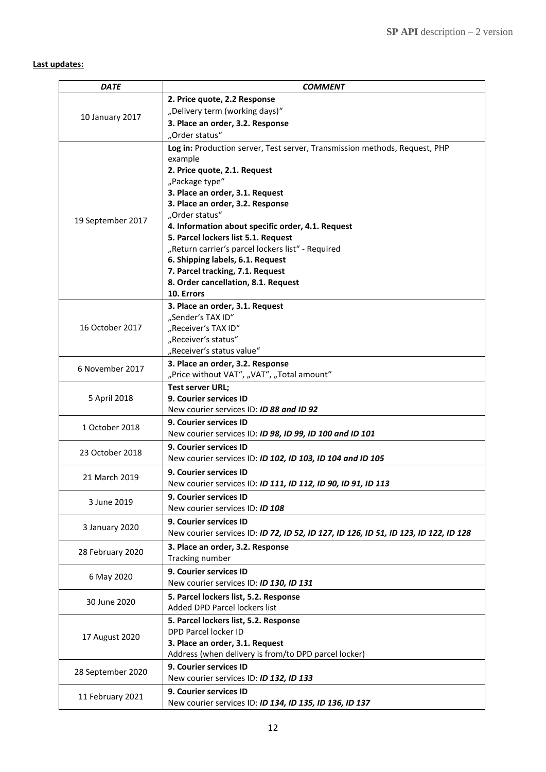## <span id="page-11-0"></span>**Last updates:**

| <b>DATE</b>       | <b>COMMENT</b>                                                                       |
|-------------------|--------------------------------------------------------------------------------------|
|                   | 2. Price quote, 2.2 Response                                                         |
| 10 January 2017   | "Delivery term (working days)"                                                       |
|                   | 3. Place an order, 3.2. Response                                                     |
|                   | "Order status"                                                                       |
|                   | Log in: Production server, Test server, Transmission methods, Request, PHP           |
|                   | example                                                                              |
|                   | 2. Price quote, 2.1. Request                                                         |
|                   | "Package type"                                                                       |
|                   | 3. Place an order, 3.1. Request                                                      |
|                   | 3. Place an order, 3.2. Response                                                     |
| 19 September 2017 | "Order status"                                                                       |
|                   | 4. Information about specific order, 4.1. Request                                    |
|                   | 5. Parcel lockers list 5.1. Request                                                  |
|                   | "Return carrier's parcel lockers list" - Required                                    |
|                   | 6. Shipping labels, 6.1. Request<br>7. Parcel tracking, 7.1. Request                 |
|                   | 8. Order cancellation, 8.1. Request                                                  |
|                   | 10. Errors                                                                           |
|                   | 3. Place an order, 3.1. Request                                                      |
|                   | "Sender's TAX ID"                                                                    |
| 16 October 2017   | "Receiver's TAX ID"                                                                  |
|                   | "Receiver's status"                                                                  |
|                   | "Receiver's status value"                                                            |
|                   | 3. Place an order, 3.2. Response                                                     |
| 6 November 2017   | "Price without VAT", "VAT", "Total amount"                                           |
|                   | <b>Test server URL;</b>                                                              |
| 5 April 2018      | 9. Courier services ID                                                               |
|                   | New courier services ID: <b>ID 88 and ID 92</b>                                      |
| 1 October 2018    | 9. Courier services ID                                                               |
|                   | New courier services ID: ID 98, ID 99, ID 100 and ID 101                             |
| 23 October 2018   | <b>9. Courier services ID</b>                                                        |
|                   | New courier services ID: ID 102, ID 103, ID 104 and ID 105                           |
|                   | <b>9. Courier services ID</b>                                                        |
| 21 March 2019     | New courier services ID: ID 111, ID 112, ID 90, ID 91, ID 113                        |
|                   | 9. Courier services ID                                                               |
| 3 June 2019       | New courier services ID: ID 108                                                      |
|                   | 9. Courier services ID                                                               |
| 3 January 2020    | New courier services ID: ID 72, ID 52, ID 127, ID 126, ID 51, ID 123, ID 122, ID 128 |
|                   | 3. Place an order, 3.2. Response                                                     |
| 28 February 2020  | Tracking number                                                                      |
|                   | 9. Courier services ID                                                               |
| 6 May 2020        | New courier services ID: ID 130, ID 131                                              |
| 30 June 2020      | 5. Parcel lockers list, 5.2. Response                                                |
|                   | Added DPD Parcel lockers list                                                        |
| 17 August 2020    | 5. Parcel lockers list, 5.2. Response                                                |
|                   | DPD Parcel locker ID                                                                 |
|                   | 3. Place an order, 3.1. Request                                                      |
|                   | Address (when delivery is from/to DPD parcel locker)                                 |
|                   | 9. Courier services ID                                                               |
| 28 September 2020 | New courier services ID: ID 132, ID 133                                              |
|                   | 9. Courier services ID                                                               |
| 11 February 2021  | New courier services ID: ID 134, ID 135, ID 136, ID 137                              |